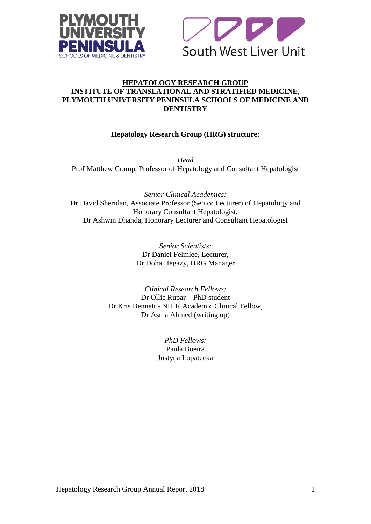



### **HEPATOLOGY RESEARCH GROUP INSTITUTE OF TRANSLATIONAL AND STRATIFIED MEDICINE, PLYMOUTH UNIVERSITY PENINSULA SCHOOLS OF MEDICINE AND DENTISTRY**

# **Hepatology Research Group (HRG) structure:**

*Head* Prof Matthew Cramp, Professor of Hepatology and Consultant Hepatologist

*Senior Clinical Academics:* Dr David Sheridan, Associate Professor (Senior Lecturer) of Hepatology and Honorary Consultant Hepatologist, Dr Ashwin Dhanda, Honorary Lecturer and Consultant Hepatologist

> *Senior Scientists:* Dr Daniel Felmlee, Lecturer, Dr Doha Hegazy, HRG Manager

*Clinical Research Fellows:* Dr Ollie Rupar – PhD student Dr Kris Bennett - NIHR Academic Clinical Fellow, Dr Asma Ahmed (writing up)

> *PhD Fellows:* Paula Boeira Justyna Lopatecka

Hepatology Research Group Annual Report 2018 1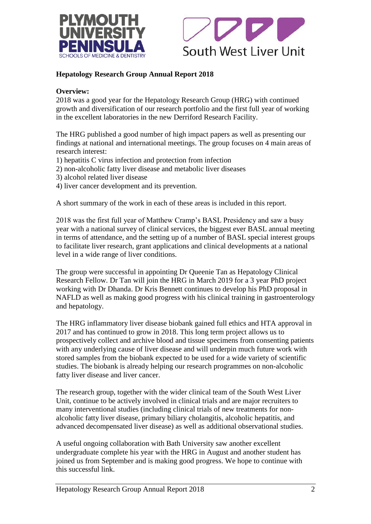



# **Hepatology Research Group Annual Report 2018**

### **Overview:**

2018 was a good year for the Hepatology Research Group (HRG) with continued growth and diversification of our research portfolio and the first full year of working in the excellent laboratories in the new Derriford Research Facility.

The HRG published a good number of high impact papers as well as presenting our findings at national and international meetings. The group focuses on 4 main areas of research interest:

- 1) hepatitis C virus infection and protection from infection
- 2) non-alcoholic fatty liver disease and metabolic liver diseases
- 3) alcohol related liver disease
- 4) liver cancer development and its prevention.

A short summary of the work in each of these areas is included in this report.

2018 was the first full year of Matthew Cramp's BASL Presidency and saw a busy year with a national survey of clinical services, the biggest ever BASL annual meeting in terms of attendance, and the setting up of a number of BASL special interest groups to facilitate liver research, grant applications and clinical developments at a national level in a wide range of liver conditions.

The group were successful in appointing Dr Queenie Tan as Hepatology Clinical Research Fellow. Dr Tan will join the HRG in March 2019 for a 3 year PhD project working with Dr Dhanda. Dr Kris Bennett continues to develop his PhD proposal in NAFLD as well as making good progress with his clinical training in gastroenterology and hepatology.

The HRG inflammatory liver disease biobank gained full ethics and HTA approval in 2017 and has continued to grow in 2018. This long term project allows us to prospectively collect and archive blood and tissue specimens from consenting patients with any underlying cause of liver disease and will underpin much future work with stored samples from the biobank expected to be used for a wide variety of scientific studies. The biobank is already helping our research programmes on non-alcoholic fatty liver disease and liver cancer.

The research group, together with the wider clinical team of the South West Liver Unit, continue to be actively involved in clinical trials and are major recruiters to many interventional studies (including clinical trials of new treatments for nonalcoholic fatty liver disease, primary biliary cholangitis, alcoholic hepatitis, and advanced decompensated liver disease) as well as additional observational studies.

A useful ongoing collaboration with Bath University saw another excellent undergraduate complete his year with the HRG in August and another student has joined us from September and is making good progress. We hope to continue with this successful link.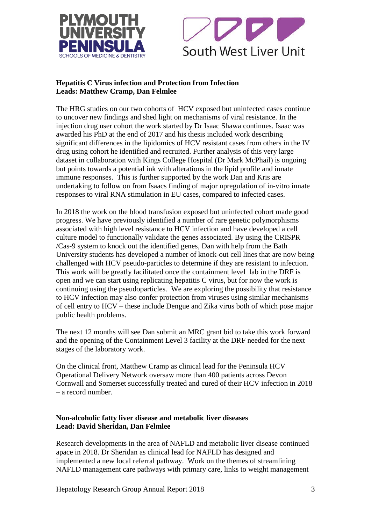



### **Hepatitis C Virus infection and Protection from Infection Leads: Matthew Cramp, Dan Felmlee**

The HRG studies on our two cohorts of HCV exposed but uninfected cases continue to uncover new findings and shed light on mechanisms of viral resistance. In the injection drug user cohort the work started by Dr Isaac Shawa continues. Isaac was awarded his PhD at the end of 2017 and his thesis included work describing significant differences in the lipidomics of HCV resistant cases from others in the IV drug using cohort he identified and recruited. Further analysis of this very large dataset in collaboration with Kings College Hospital (Dr Mark McPhail) is ongoing but points towards a potential ink with alterations in the lipid profile and innate immune responses. This is further supported by the work Dan and Kris are undertaking to follow on from Isaacs finding of major upregulation of in-vitro innate responses to viral RNA stimulation in EU cases, compared to infected cases.

In 2018 the work on the blood transfusion exposed but uninfected cohort made good progress. We have previously identified a number of rare genetic polymorphisms associated with high level resistance to HCV infection and have developed a cell culture model to functionally validate the genes associated. By using the CRISPR /Cas-9 system to knock out the identified genes, Dan with help from the Bath University students has developed a number of knock-out cell lines that are now being challenged with HCV pseudo-particles to determine if they are resistant to infection. This work will be greatly facilitated once the containment level lab in the DRF is open and we can start using replicating hepatitis C virus, but for now the work is continuing using the pseudoparticles. We are exploring the possibility that resistance to HCV infection may also confer protection from viruses using similar mechanisms of cell entry to HCV – these include Dengue and Zika virus both of which pose major public health problems.

The next 12 months will see Dan submit an MRC grant bid to take this work forward and the opening of the Containment Level 3 facility at the DRF needed for the next stages of the laboratory work.

On the clinical front, Matthew Cramp as clinical lead for the Peninsula HCV Operational Delivery Network oversaw more than 400 patients across Devon Cornwall and Somerset successfully treated and cured of their HCV infection in 2018 – a record number.

### **Non-alcoholic fatty liver disease and metabolic liver diseases Lead: David Sheridan, Dan Felmlee**

Research developments in the area of NAFLD and metabolic liver disease continued apace in 2018. Dr Sheridan as clinical lead for NAFLD has designed and implemented a new local referral pathway. Work on the themes of streamlining NAFLD management care pathways with primary care, links to weight management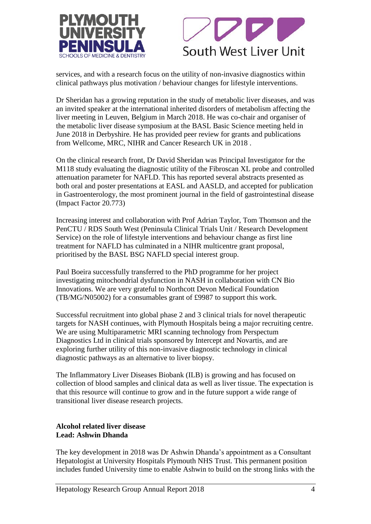



services, and with a research focus on the utility of non-invasive diagnostics within clinical pathways plus motivation / behaviour changes for lifestyle interventions.

Dr Sheridan has a growing reputation in the study of metabolic liver diseases, and was an invited speaker at the international inherited disorders of metabolism affecting the liver meeting in Leuven, Belgium in March 2018. He was co-chair and organiser of the metabolic liver disease symposium at the BASL Basic Science meeting held in June 2018 in Derbyshire. He has provided peer review for grants and publications from Wellcome, MRC, NIHR and Cancer Research UK in 2018 .

On the clinical research front, Dr David Sheridan was Principal Investigator for the M118 study evaluating the diagnostic utility of the Fibroscan XL probe and controlled attenuation parameter for NAFLD. This has reported several abstracts presented as both oral and poster presentations at EASL and AASLD, and accepted for publication in Gastroenterology, the most prominent journal in the field of gastrointestinal disease (Impact Factor 20.773)

Increasing interest and collaboration with Prof Adrian Taylor, Tom Thomson and the PenCTU / RDS South West (Peninsula Clinical Trials Unit / Research Development Service) on the role of lifestyle interventions and behaviour change as first line treatment for NAFLD has culminated in a NIHR multicentre grant proposal, prioritised by the BASL BSG NAFLD special interest group.

Paul Boeira successfully transferred to the PhD programme for her project investigating mitochondrial dysfunction in NASH in collaboration with CN Bio Innovations. We are very grateful to Northcott Devon Medical Foundation (TB/MG/N05002) for a consumables grant of £9987 to support this work.

Successful recruitment into global phase 2 and 3 clinical trials for novel therapeutic targets for NASH continues, with Plymouth Hospitals being a major recruiting centre. We are using Multiparametric MRI scanning technology from Perspectum Diagnostics Ltd in clinical trials sponsored by Intercept and Novartis, and are exploring further utility of this non-invasive diagnostic technology in clinical diagnostic pathways as an alternative to liver biopsy.

The Inflammatory Liver Diseases Biobank (ILB) is growing and has focused on collection of blood samples and clinical data as well as liver tissue. The expectation is that this resource will continue to grow and in the future support a wide range of transitional liver disease research projects.

### **Alcohol related liver disease Lead: Ashwin Dhanda**

The key development in 2018 was Dr Ashwin Dhanda's appointment as a Consultant Hepatologist at University Hospitals Plymouth NHS Trust. This permanent position includes funded University time to enable Ashwin to build on the strong links with the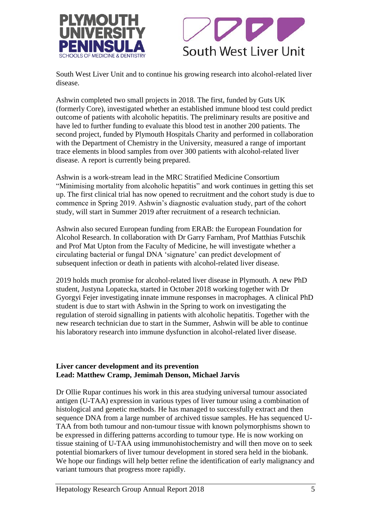



South West Liver Unit and to continue his growing research into alcohol-related liver disease.

Ashwin completed two small projects in 2018. The first, funded by Guts UK (formerly Core), investigated whether an established immune blood test could predict outcome of patients with alcoholic hepatitis. The preliminary results are positive and have led to further funding to evaluate this blood test in another 200 patients. The second project, funded by Plymouth Hospitals Charity and performed in collaboration with the Department of Chemistry in the University, measured a range of important trace elements in blood samples from over 300 patients with alcohol-related liver disease. A report is currently being prepared.

Ashwin is a work-stream lead in the MRC Stratified Medicine Consortium "Minimising mortality from alcoholic hepatitis" and work continues in getting this set up. The first clinical trial has now opened to recruitment and the cohort study is due to commence in Spring 2019. Ashwin's diagnostic evaluation study, part of the cohort study, will start in Summer 2019 after recruitment of a research technician.

Ashwin also secured European funding from ERAB: the European Foundation for Alcohol Research. In collaboration with Dr Garry Farnham, Prof Matthias Futschik and Prof Mat Upton from the Faculty of Medicine, he will investigate whether a circulating bacterial or fungal DNA 'signature' can predict development of subsequent infection or death in patients with alcohol-related liver disease.

2019 holds much promise for alcohol-related liver disease in Plymouth. A new PhD student, Justyna Lopatecka, started in October 2018 working together with Dr Gyorgyi Fejer investigating innate immune responses in macrophages. A clinical PhD student is due to start with Ashwin in the Spring to work on investigating the regulation of steroid signalling in patients with alcoholic hepatitis. Together with the new research technician due to start in the Summer, Ashwin will be able to continue his laboratory research into immune dysfunction in alcohol-related liver disease.

### **Liver cancer development and its prevention Lead: Matthew Cramp, Jemimah Denson, Michael Jarvis**

Dr Ollie Rupar continues his work in this area studying universal tumour associated antigen (U-TAA) expression in various types of liver tumour using a combination of histological and genetic methods. He has managed to successfully extract and then sequence DNA from a large number of archived tissue samples. He has sequenced U-TAA from both tumour and non-tumour tissue with known polymorphisms shown to be expressed in differing patterns according to tumour type. He is now working on tissue staining of U-TAA using immunohistochemistry and will then move on to seek potential biomarkers of liver tumour development in stored sera held in the biobank. We hope our findings will help better refine the identification of early malignancy and variant tumours that progress more rapidly.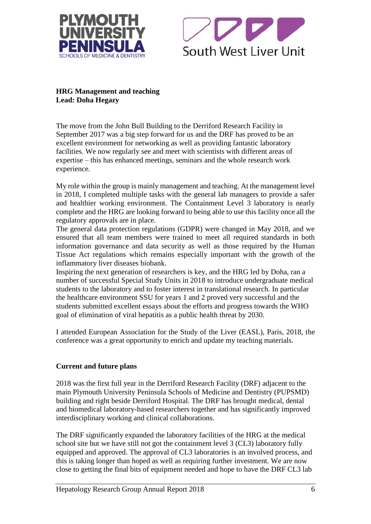



# **HRG Management and teaching Lead: Doha Hegazy**

The move from the John Bull Building to the Derriford Research Facility in September 2017 was a big step forward for us and the DRF has proved to be an excellent environment for networking as well as providing fantastic laboratory facilities. We now regularly see and meet with scientists with different areas of expertise – this has enhanced meetings, seminars and the whole research work experience.

My role within the group is mainly management and teaching. At the management level in 2018, I completed multiple tasks with the general lab managers to provide a safer and healthier working environment. The Containment Level 3 laboratory is nearly complete and the HRG are looking forward to being able to use this facility once all the regulatory approvals are in place.

The general data protection regulations (GDPR) were changed in May 2018, and we ensured that all team members were trained to meet all required standards in both information governance and data security as well as those required by the Human Tissue Act regulations which remains especially important with the growth of the inflammatory liver diseases biobank.

Inspiring the next generation of researchers is key, and the HRG led by Doha, ran a number of successful Special Study Units in 2018 to introduce undergraduate medical students to the laboratory and to foster interest in translational research. In particular the healthcare environment SSU for years 1 and 2 proved very successful and the students submitted excellent essays about the efforts and progress towards the WHO goal of elimination of viral hepatitis as a public health threat by 2030.

I attended European Association for the Study of the Liver (EASL), Paris, 2018, the conference was a great opportunity to enrich and update my teaching materials.

# **Current and future plans**

2018 was the first full year in the Derriford Research Facility (DRF) adjacent to the main Plymouth University Peninsula Schools of Medicine and Dentistry (PUPSMD) building and right beside Derriford Hospital. The DRF has brought medical, dental and biomedical laboratory-based researchers together and has significantly improved interdisciplinary working and clinical collaborations.

The DRF significantly expanded the laboratory facilities of the HRG at the medical school site but we have still not got the containment level 3 (CL3) laboratory fully equipped and approved. The approval of CL3 laboratories is an involved process, and this is taking longer than hoped as well as requiring further investment. We are now close to getting the final bits of equipment needed and hope to have the DRF CL3 lab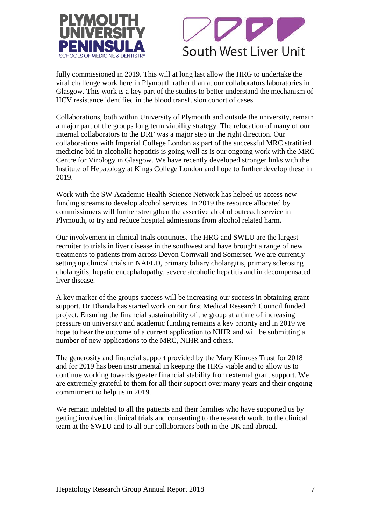



fully commissioned in 2019. This will at long last allow the HRG to undertake the viral challenge work here in Plymouth rather than at our collaborators laboratories in Glasgow. This work is a key part of the studies to better understand the mechanism of HCV resistance identified in the blood transfusion cohort of cases.

Collaborations, both within University of Plymouth and outside the university, remain a major part of the groups long term viability strategy. The relocation of many of our internal collaborators to the DRF was a major step in the right direction. Our collaborations with Imperial College London as part of the successful MRC stratified medicine bid in alcoholic hepatitis is going well as is our ongoing work with the MRC Centre for Virology in Glasgow. We have recently developed stronger links with the Institute of Hepatology at Kings College London and hope to further develop these in 2019.

Work with the SW Academic Health Science Network has helped us access new funding streams to develop alcohol services. In 2019 the resource allocated by commissioners will further strengthen the assertive alcohol outreach service in Plymouth, to try and reduce hospital admissions from alcohol related harm.

Our involvement in clinical trials continues. The HRG and SWLU are the largest recruiter to trials in liver disease in the southwest and have brought a range of new treatments to patients from across Devon Cornwall and Somerset. We are currently setting up clinical trials in NAFLD, primary biliary cholangitis, primary sclerosing cholangitis, hepatic encephalopathy, severe alcoholic hepatitis and in decompensated liver disease.

A key marker of the groups success will be increasing our success in obtaining grant support. Dr Dhanda has started work on our first Medical Research Council funded project. Ensuring the financial sustainability of the group at a time of increasing pressure on university and academic funding remains a key priority and in 2019 we hope to hear the outcome of a current application to NIHR and will be submitting a number of new applications to the MRC, NIHR and others.

The generosity and financial support provided by the Mary Kinross Trust for 2018 and for 2019 has been instrumental in keeping the HRG viable and to allow us to continue working towards greater financial stability from external grant support. We are extremely grateful to them for all their support over many years and their ongoing commitment to help us in 2019.

We remain indebted to all the patients and their families who have supported us by getting involved in clinical trials and consenting to the research work, to the clinical team at the SWLU and to all our collaborators both in the UK and abroad.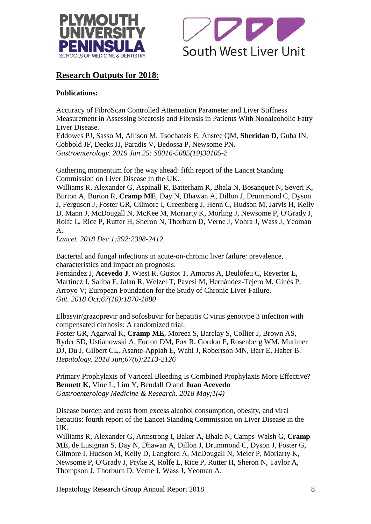



# **Research Outputs for 2018:**

### **Publications:**

Accuracy of FibroScan Controlled Attenuation Parameter and Liver Stiffness Measurement in Assessing Steatosis and Fibrosis in Patients With Nonalcoholic Fatty Liver Disease. Eddowes PJ, Sasso M, Allison M, Tsochatzis E, Anstee QM, **Sheridan D**, Guha IN, Cobbold JF, Deeks JJ, Paradis V, Bedossa P, Newsome PN. *Gastroenterology. 2019 Jan 25: S0016-5085(19)30105-2*

Gathering momentum for the way ahead: fifth report of the Lancet Standing Commission on Liver Disease in the UK.

Williams R, Alexander G, Aspinall R, Batterham R, Bhala N, Bosanquet N, Severi K, Burton A, Burton R, **Cramp ME**, Day N, Dhawan A, Dillon J, Drummond C, Dyson J, Ferguson J, Foster GR, Gilmore I, Greenberg J, Henn C, Hudson M, Jarvis H, Kelly D, Mann J, McDougall N, McKee M, Moriarty K, Morling J, Newsome P, O'Grady J, Rolfe L, Rice P, Rutter H, Sheron N, Thorburn D, Verne J, Vohra J, Wass J, Yeoman A.

*Lancet. 2018 Dec 1;392:2398-2412.*

Bacterial and fungal infections in acute-on-chronic liver failure: prevalence, characteristics and impact on prognosis.

Fernández J, **Acevedo J**, Wiest R, Gustot T, Amoros A, Deulofeu C, Reverter E, Martínez J, Saliba F, Jalan R, Welzel T, Pavesi M, Hernández-Tejero M, Ginès P, Arroyo V; European Foundation for the Study of Chronic Liver Failure. *Gut. 2018 Oct;67(10):1870-1880*

Elbasvir/grazoprevir and sofosbuvir for hepatitis C virus genotype 3 infection with compensated cirrhosis: A randomized trial.

Foster GR, Agarwal K, **Cramp ME**, Moreea S, Barclay S, Collier J, Brown AS, Ryder SD, Ustianowski A, Forton DM, Fox R, Gordon F, Rosenberg WM, Mutimer DJ, Du J, Gilbert CL, Asante-Appiah E, Wahl J, Robertson MN, Barr E, Haber B. *Hepatology. 2018 Jun;67(6):2113-2126*

Primary Prophylaxis of Variceal Bleeding Is Combined Prophylaxis More Effective? **Bennett K**, Vine L, Lim Y, Bendall O and **Juan Acevedo** *Gastroenterology Medicine & Research. 2018 May;1(4)*

Disease burden and costs from excess alcohol consumption, obesity, and viral hepatitis: fourth report of the Lancet Standing Commission on Liver Disease in the UK.

Williams R, Alexander G, Armstrong I, Baker A, Bhala N, Camps-Walsh G, **Cramp ME**, de Lusignan S, Day N, Dhawan A, Dillon J, Drummond C, Dyson J, Foster G, Gilmore I, Hudson M, Kelly D, Langford A, McDougall N, Meier P, Moriarty K, Newsome P, O'Grady J, Pryke R, Rolfe L, Rice P, Rutter H, Sheron N, Taylor A, Thompson J, Thorburn D, Verne J, Wass J, Yeoman A.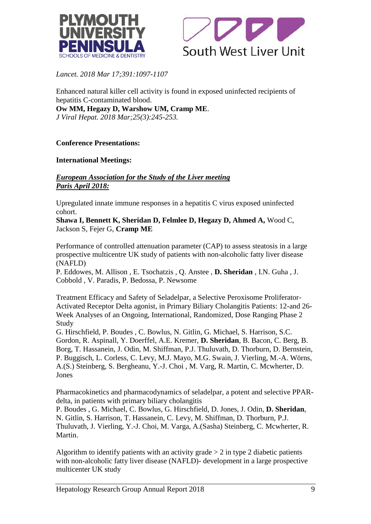



*Lancet. 2018 Mar 17;391:1097-1107*

Enhanced natural killer cell activity is found in exposed uninfected recipients of hepatitis C-contaminated blood. **Ow MM, Hegazy D, Warshow UM, Cramp ME**. *J Viral Hepat. 2018 Mar;25(3):245-253.*

### **Conference Presentations:**

### **International Meetings:**

*European Association for the Study of the Liver meeting Paris April 2018:*

Upregulated innate immune responses in a hepatitis C virus exposed uninfected cohort.

**Shawa I, Bennett K, Sheridan D, Felmlee D, Hegazy D, Ahmed A,** Wood C, Jackson S, Fejer G, **Cramp ME**

Performance of controlled attenuation parameter (CAP) to assess steatosis in a large prospective multicentre UK study of patients with non-alcoholic fatty liver disease (NAFLD)

P. Eddowes, M. Allison , E. Tsochatzis , Q. Anstee , **D. Sheridan** , I.N. Guha , J. Cobbold , V. Paradis, P. Bedossa, P. Newsome

Treatment Efficacy and Safety of Seladelpar, a Selective Peroxisome Proliferator-Activated Receptor Delta agonist, in Primary Biliary Cholangitis Patients: 12-and 26- Week Analyses of an Ongoing, International, Randomized, Dose Ranging Phase 2 Study

G. Hirschfield, P. Boudes , C. Bowlus, N. Gitlin, G. Michael, S. Harrison, S.C. Gordon, R. Aspinall, Y. Doerffel, A.E. Kremer, **D. Sheridan**, B. Bacon, C. Berg, B. Borg, T. Hassanein, J. Odin, M. Shiffman, P.J. Thuluvath, D. Thorburn, D. Bernstein, P. Buggisch, L. Corless, C. Levy, M.J. Mayo, M.G. Swain, J. Vierling, M.-A. Wörns, A.(S.) Steinberg, S. Bergheanu, Y.-J. Choi , M. Varg, R. Martin, C. Mcwherter, D. Jones

Pharmacokinetics and pharmacodynamics of seladelpar, a potent and selective PPARdelta, in patients with primary biliary cholangitis

P. Boudes , G. Michael, C. Bowlus, G. Hirschfield, D. Jones, J. Odin, **D. Sheridan**, N. Gitlin, S. Harrison, T. Hassanein, C. Levy, M. Shiffman, D. Thorburn, P.J. Thuluvath, J. Vierling, Y.-J. Choi, M. Varga, A.(Sasha) Steinberg, C. Mcwherter, R. Martin.

Algorithm to identify patients with an activity grade  $> 2$  in type 2 diabetic patients with non-alcoholic fatty liver disease (NAFLD)- development in a large prospective multicenter UK study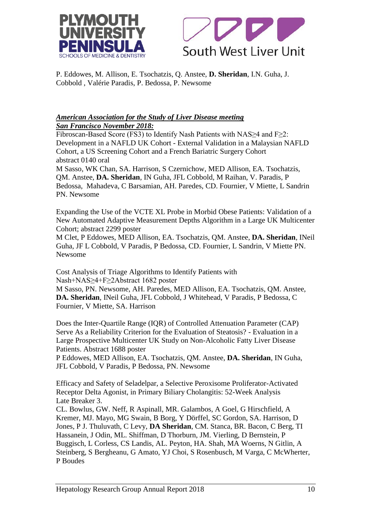



P. Eddowes, M. Allison, E. Tsochatzis, Q. Anstee, **D. Sheridan**, I.N. Guha, J. Cobbold , Valérie Paradis, P. Bedossa, P. Newsome

### *American Association for the Study of Liver Disease meeting San Francisco November 2018:*

Fibroscan-Based Score (FS3) to Identify Nash Patients with NAS≥4 and F≥2: Development in a NAFLD UK Cohort - External Validation in a Malaysian NAFLD Cohort, a US Screening Cohort and a French Bariatric Surgery Cohort abstract 0140 oral M Sasso, WK Chan, SA. Harrison, S Czernichow, MED Allison, EA. Tsochatzis,

QM. Anstee, **DA. Sheridan**, IN Guha, JFL Cobbold, M Raihan, V. Paradis, P Bedossa, Mahadeva, C Barsamian, AH. Paredes, CD. Fournier, V Miette, L Sandrin PN. Newsome

Expanding the Use of the VCTE XL Probe in Morbid Obese Patients: Validation of a New Automated Adaptive Measurement Depths Algorithm in a Large UK Multicenter Cohort; abstract 2299 poster

M Clet, P Eddowes, MED Allison, EA. Tsochatzis, QM. Anstee, **DA. Sheridan**, INeil Guha, JF L Cobbold, V Paradis, P Bedossa, CD. Fournier, L Sandrin, V Miette PN. Newsome

Cost Analysis of Triage Algorithms to Identify Patients with Nash+NAS≥4+F≥2Abstract 1682 poster

M Sasso, PN. Newsome, AH. Paredes, MED Allison, EA. Tsochatzis, QM. Anstee, **DA. Sheridan**, INeil Guha, JFL Cobbold, J Whitehead, V Paradis, P Bedossa, C Fournier, V Miette, SA. Harrison

Does the Inter-Quartile Range (IQR) of Controlled Attenuation Parameter (CAP) Serve As a Reliability Criterion for the Evaluation of Steatosis? - Evaluation in a Large Prospective Multicenter UK Study on Non-Alcoholic Fatty Liver Disease Patients. Abstract 1688 poster

P Eddowes, MED Allison, EA. Tsochatzis, QM. Anstee, **DA. Sheridan**, IN Guha, JFL Cobbold, V Paradis, P Bedossa, PN. Newsome

Efficacy and Safety of Seladelpar, a Selective Peroxisome Proliferator-Activated Receptor Delta Agonist, in Primary Biliary Cholangitis: 52-Week Analysis Late Breaker 3.

CL. Bowlus, GW. Neff, R Aspinall, MR. Galambos, A Goel, G Hirschfield, A Kremer, MJ. Mayo, MG Swain, B Borg, Y Dörffel, SC Gordon, SA. Harrison, D Jones, P J. Thuluvath, C Levy, **DA Sheridan**, CM. Stanca, BR. Bacon, C Berg, TI Hassanein, J Odin, ML. Shiffman, D Thorburn, JM. Vierling, D Bernstein, P Buggisch, L Corless, CS Landis, AL. Peyton, HA. Shah, MA Woerns, N Gitlin, A Steinberg, S Bergheanu, G Amato, YJ Choi, S Rosenbusch, M Varga, C McWherter, P Boudes